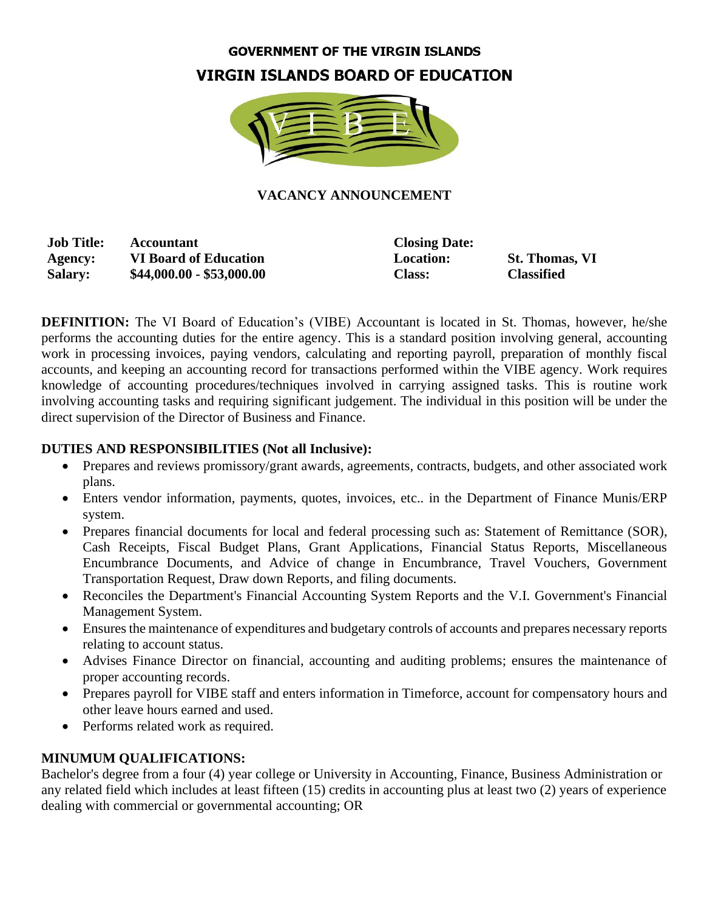#### **GOVERNMENT OF THE VIRGIN ISLANDS**

## **VIRGIN ISLANDS BOARD OF EDUCATION**



#### **VACANCY ANNOUNCEMENT**

**Job Title: Accountant Closing Date: Agency: VI Board of Education Location: St. Thomas, VI Salary: \$44,000.00 - \$53,000.00 Class: Classified**

**DEFINITION:** The VI Board of Education's (VIBE) Accountant is located in St. Thomas, however, he/she performs the accounting duties for the entire agency. This is a standard position involving general, accounting work in processing invoices, paying vendors, calculating and reporting payroll, preparation of monthly fiscal accounts, and keeping an accounting record for transactions performed within the VIBE agency. Work requires knowledge of accounting procedures/techniques involved in carrying assigned tasks. This is routine work involving accounting tasks and requiring significant judgement. The individual in this position will be under the direct supervision of the Director of Business and Finance.

#### **DUTIES AND RESPONSIBILITIES (Not all Inclusive):**

- Prepares and reviews promissory/grant awards, agreements, contracts, budgets, and other associated work plans.
- Enters vendor information, payments, quotes, invoices, etc.. in the Department of Finance Munis/ERP system.
- Prepares financial documents for local and federal processing such as: Statement of Remittance (SOR), Cash Receipts, Fiscal Budget Plans, Grant Applications, Financial Status Reports, Miscellaneous Encumbrance Documents, and Advice of change in Encumbrance, Travel Vouchers, Government Transportation Request, Draw down Reports, and filing documents.
- Reconciles the Department's Financial Accounting System Reports and the V.I. Government's Financial Management System.
- Ensures the maintenance of expenditures and budgetary controls of accounts and prepares necessary reports relating to account status.
- Advises Finance Director on financial, accounting and auditing problems; ensures the maintenance of proper accounting records.
- Prepares payroll for VIBE staff and enters information in Timeforce, account for compensatory hours and other leave hours earned and used.
- Performs related work as required.

#### **MINUMUM QUALIFICATIONS:**

Bachelor's degree from a four (4) year college or University in Accounting, Finance, Business Administration or any related field which includes at least fifteen (15) credits in accounting plus at least two (2) years of experience dealing with commercial or governmental accounting; OR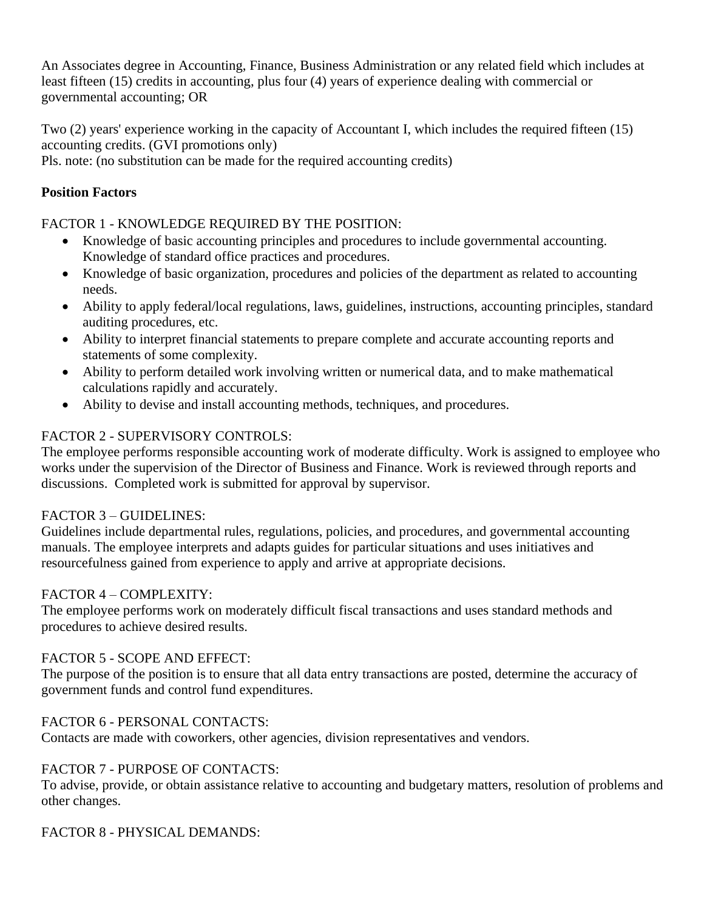An Associates degree in Accounting, Finance, Business Administration or any related field which includes at least fifteen (15) credits in accounting, plus four (4) years of experience dealing with commercial or governmental accounting; OR

Two (2) years' experience working in the capacity of Accountant I, which includes the required fifteen (15) accounting credits. (GVI promotions only)

Pls. note: (no substitution can be made for the required accounting credits)

## **Position Factors**

FACTOR 1 - KNOWLEDGE REQUIRED BY THE POSITION:

- Knowledge of basic accounting principles and procedures to include governmental accounting. Knowledge of standard office practices and procedures.
- Knowledge of basic organization, procedures and policies of the department as related to accounting needs.
- Ability to apply federal/local regulations, laws, guidelines, instructions, accounting principles, standard auditing procedures, etc.
- Ability to interpret financial statements to prepare complete and accurate accounting reports and statements of some complexity.
- Ability to perform detailed work involving written or numerical data, and to make mathematical calculations rapidly and accurately.
- Ability to devise and install accounting methods, techniques, and procedures.

# FACTOR 2 - SUPERVISORY CONTROLS:

The employee performs responsible accounting work of moderate difficulty. Work is assigned to employee who works under the supervision of the Director of Business and Finance. Work is reviewed through reports and discussions. Completed work is submitted for approval by supervisor.

## FACTOR 3 – GUIDELINES:

Guidelines include departmental rules, regulations, policies, and procedures, and governmental accounting manuals. The employee interprets and adapts guides for particular situations and uses initiatives and resourcefulness gained from experience to apply and arrive at appropriate decisions.

## FACTOR 4 – COMPLEXITY:

The employee performs work on moderately difficult fiscal transactions and uses standard methods and procedures to achieve desired results.

## FACTOR 5 - SCOPE AND EFFECT:

The purpose of the position is to ensure that all data entry transactions are posted, determine the accuracy of government funds and control fund expenditures.

## FACTOR 6 - PERSONAL CONTACTS:

Contacts are made with coworkers, other agencies, division representatives and vendors.

## FACTOR 7 - PURPOSE OF CONTACTS:

To advise, provide, or obtain assistance relative to accounting and budgetary matters, resolution of problems and other changes.

## FACTOR 8 - PHYSICAL DEMANDS: